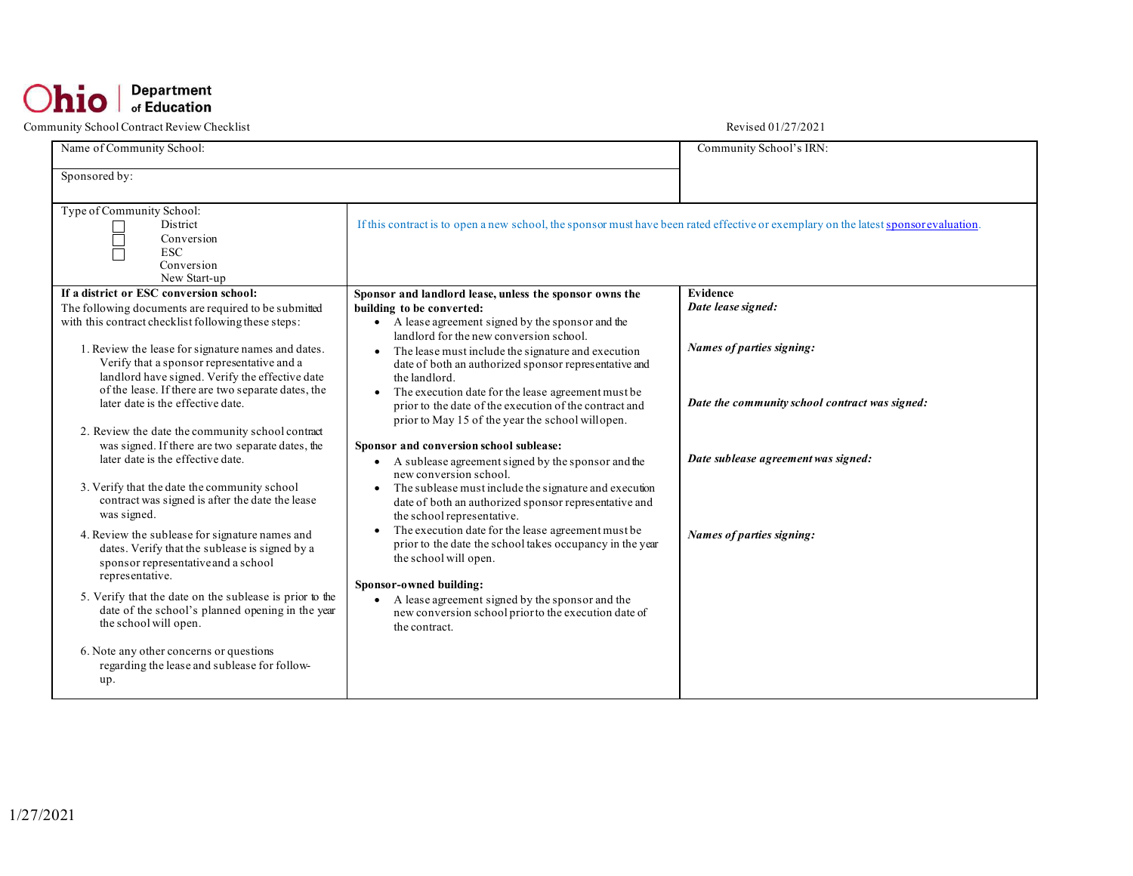| Name of Community School:                                                                                                                                                                                                                                                                                                                                                                                                                                                                                                                                                                                                                                                                                                                                                                                                                                                                                                                                                     |                                                                                                                                                                                                                                                                                                                                                                                                                                                                                                                                                                                                                                                                                                                                                                                                                                                                                                                                                                                                                                                                             | Community School's IRN:                                                                                                                                                           |
|-------------------------------------------------------------------------------------------------------------------------------------------------------------------------------------------------------------------------------------------------------------------------------------------------------------------------------------------------------------------------------------------------------------------------------------------------------------------------------------------------------------------------------------------------------------------------------------------------------------------------------------------------------------------------------------------------------------------------------------------------------------------------------------------------------------------------------------------------------------------------------------------------------------------------------------------------------------------------------|-----------------------------------------------------------------------------------------------------------------------------------------------------------------------------------------------------------------------------------------------------------------------------------------------------------------------------------------------------------------------------------------------------------------------------------------------------------------------------------------------------------------------------------------------------------------------------------------------------------------------------------------------------------------------------------------------------------------------------------------------------------------------------------------------------------------------------------------------------------------------------------------------------------------------------------------------------------------------------------------------------------------------------------------------------------------------------|-----------------------------------------------------------------------------------------------------------------------------------------------------------------------------------|
| Sponsored by:                                                                                                                                                                                                                                                                                                                                                                                                                                                                                                                                                                                                                                                                                                                                                                                                                                                                                                                                                                 |                                                                                                                                                                                                                                                                                                                                                                                                                                                                                                                                                                                                                                                                                                                                                                                                                                                                                                                                                                                                                                                                             |                                                                                                                                                                                   |
| Type of Community School:<br>District<br>$\mathcal{L}_{\mathcal{A}}$<br>Ē<br>Conversion<br><b>ESC</b><br>Conversion<br>New Start-up                                                                                                                                                                                                                                                                                                                                                                                                                                                                                                                                                                                                                                                                                                                                                                                                                                           | If this contract is to open a new school, the sponsor must have been rated effective or exemplary on the latest sponsor evaluation.                                                                                                                                                                                                                                                                                                                                                                                                                                                                                                                                                                                                                                                                                                                                                                                                                                                                                                                                         |                                                                                                                                                                                   |
| If a district or ESC conversion school:<br>The following documents are required to be submitted<br>with this contract checklist following these steps:<br>1. Review the lease for signature names and dates.<br>Verify that a sponsor representative and a<br>landlord have signed. Verify the effective date<br>of the lease. If there are two separate dates, the<br>later date is the effective date.<br>2. Review the date the community school contract<br>was signed. If there are two separate dates, the<br>later date is the effective date.<br>3. Verify that the date the community school<br>contract was signed is after the date the lease<br>was signed.<br>4. Review the sublease for signature names and<br>dates. Verify that the sublease is signed by a<br>sponsor representative and a school<br>representative.<br>5. Verify that the date on the sublease is prior to the<br>date of the school's planned opening in the year<br>the school will open. | Sponsor and landlord lease, unless the sponsor owns the<br>building to be converted:<br>• A lease agreement signed by the sponsor and the<br>landlord for the new conversion school.<br>• The lease must include the signature and execution<br>date of both an authorized sponsor representative and<br>the landlord.<br>The execution date for the lease agreement must be<br>prior to the date of the execution of the contract and<br>prior to May 15 of the year the school willopen.<br>Sponsor and conversion school sublease:<br>• A sublease agreement signed by the sponsor and the<br>new conversion school.<br>The sublease must include the signature and execution<br>date of both an authorized sponsor representative and<br>the school representative.<br>The execution date for the lease agreement must be<br>prior to the date the school takes occupancy in the year<br>the school will open.<br>Sponsor-owned building:<br>• A lease agreement signed by the sponsor and the<br>new conversion school prior to the execution date of<br>the contract. | Evidence<br>Date lease signed:<br>Names of parties signing:<br>Date the community school contract was signed:<br>Date sublease agreement was signed:<br>Names of parties signing: |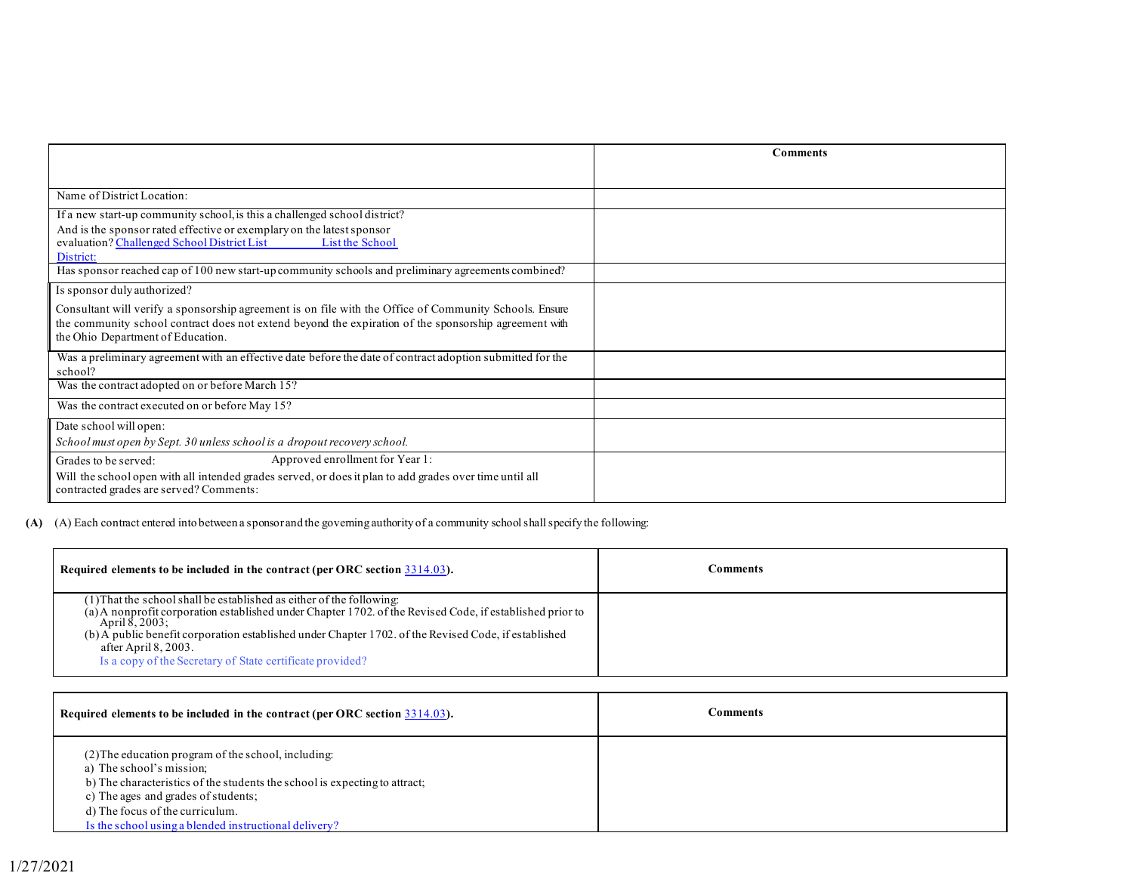|                                                                                                                      | <b>Comments</b> |
|----------------------------------------------------------------------------------------------------------------------|-----------------|
|                                                                                                                      |                 |
| Name of District Location:                                                                                           |                 |
| If a new start-up community school, is this a challenged school district?                                            |                 |
| And is the sponsor rated effective or exemplary on the latest sponsor                                                |                 |
| evaluation? Challenged School District List List List the School                                                     |                 |
| District:<br>Has sponsor reached cap of 100 new start-up community schools and preliminary agreements combined?      |                 |
|                                                                                                                      |                 |
| Is sponsor duly authorized?                                                                                          |                 |
| Consultant will verify a sponsorship agreement is on file with the Office of Community Schools. Ensure               |                 |
| the community school contract does not extend beyond the expiration of the sponsorship agreement with                |                 |
| the Ohio Department of Education.                                                                                    |                 |
| Was a preliminary agreement with an effective date before the date of contract adoption submitted for the<br>school? |                 |
| Was the contract adopted on or before March 15?                                                                      |                 |
| Was the contract executed on or before May 15?                                                                       |                 |
| Date school will open:                                                                                               |                 |
| School must open by Sept. 30 unless school is a dropout recovery school.                                             |                 |
| Approved enrollment for Year 1:<br>Grades to be served:                                                              |                 |
| Will the school open with all intended grades served, or does it plan to add grades over time until all              |                 |
| contracted grades are served? Comments:                                                                              |                 |

**(A)** (A) Each contract entered into between a sponsor and the governing authority of a community school shall specify the following:

| Required elements to be included in the contract (per ORC section $3314.03$ ).                                                                                                                                                                                                                                                                                                                  | ∵omments |
|-------------------------------------------------------------------------------------------------------------------------------------------------------------------------------------------------------------------------------------------------------------------------------------------------------------------------------------------------------------------------------------------------|----------|
| (1) That the school shall be established as either of the following:<br>(a) A nonprofit corporation established under Chapter 1702. of the Revised Code, if established prior to<br>April 8, 2003:<br>(b) A public benefit corporation established under Chapter 1702. of the Revised Code, if established<br>after April 8, 2003.<br>Is a copy of the Secretary of State certificate provided? |          |

| Required elements to be included in the contract (per ORC section 3314.03).                                                                                                                                                                                                                      | Comments |
|--------------------------------------------------------------------------------------------------------------------------------------------------------------------------------------------------------------------------------------------------------------------------------------------------|----------|
| (2) The education program of the school, including:<br>a) The school's mission;<br>b) The characteristics of the students the school is expecting to attract;<br>c) The ages and grades of students;<br>d) The focus of the curriculum.<br>Is the school using a blended instructional delivery? |          |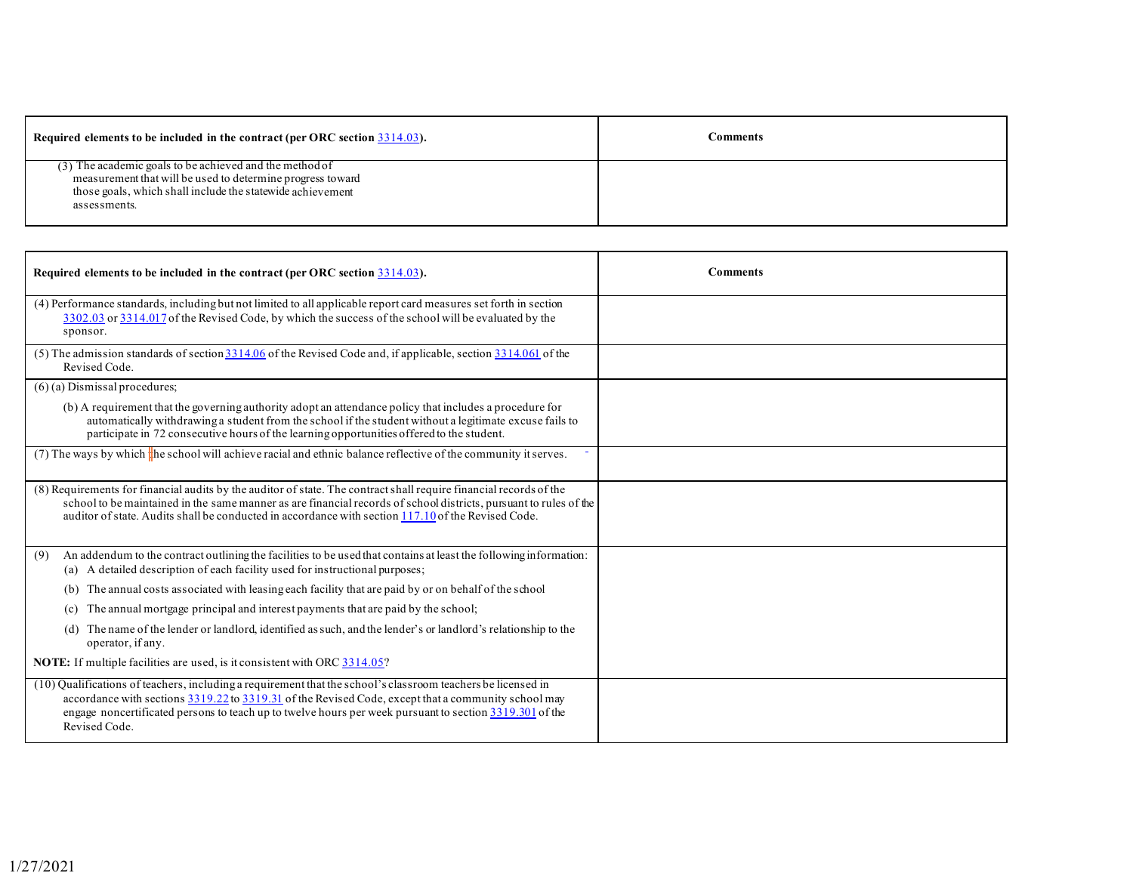| Required elements to be included in the contract (per ORC section $3314.03$ ).                                                                                                                      | <b>Comments</b> |
|-----------------------------------------------------------------------------------------------------------------------------------------------------------------------------------------------------|-----------------|
| (3) The academic goals to be achieved and the method of<br>measurement that will be used to determine progress toward<br>those goals, which shall include the statewide achievement<br>assessments. |                 |

| Required elements to be included in the contract (per ORC section 3314.03).                                                                                                                                                                                                                                                                     | <b>Comments</b> |
|-------------------------------------------------------------------------------------------------------------------------------------------------------------------------------------------------------------------------------------------------------------------------------------------------------------------------------------------------|-----------------|
| (4) Performance standards, including but not limited to all applicable report card measures set forth in section<br>3302.03 or 3314.017 of the Revised Code, by which the success of the school will be evaluated by the<br>sponsor.                                                                                                            |                 |
| (5) The admission standards of section $3314.06$ of the Revised Code and, if applicable, section $3314.061$ of the<br>Revised Code.                                                                                                                                                                                                             |                 |
| $(6)$ (a) Dismissal procedures;                                                                                                                                                                                                                                                                                                                 |                 |
| (b) A requirement that the governing authority adopt an attendance policy that includes a procedure for<br>automatically withdrawing a student from the school if the student without a legitimate excuse fails to<br>participate in 72 consecutive hours of the learning opportunities offered to the student.                                 |                 |
| (7) The ways by which the school will achieve racial and ethnic balance reflective of the community it serves.                                                                                                                                                                                                                                  |                 |
| (8) Requirements for financial audits by the auditor of state. The contract shall require financial records of the<br>school to be maintained in the same manner as are financial records of school districts, pursuant to rules of the<br>auditor of state. Audits shall be conducted in accordance with section 117.10 of the Revised Code.   |                 |
| An addendum to the contract outlining the facilities to be used that contains at least the following information:<br>(9)<br>(a) A detailed description of each facility used for instructional purposes;                                                                                                                                        |                 |
| The annual costs associated with leasing each facility that are paid by or on behalf of the school<br>(b)                                                                                                                                                                                                                                       |                 |
| The annual mortgage principal and interest payments that are paid by the school;<br>(c)                                                                                                                                                                                                                                                         |                 |
| The name of the lender or landlord, identified as such, and the lender's or landlord's relationship to the<br>(d)<br>operator, if any.                                                                                                                                                                                                          |                 |
| <b>NOTE:</b> If multiple facilities are used, is it consistent with ORC 3314.05?                                                                                                                                                                                                                                                                |                 |
| (10) Qualifications of teachers, including a requirement that the school's classroom teachers be licensed in<br>accordance with sections 3319.22 to 3319.31 of the Revised Code, except that a community school may<br>engage noncertificated persons to teach up to twelve hours per week pursuant to section 3319.301 of the<br>Revised Code. |                 |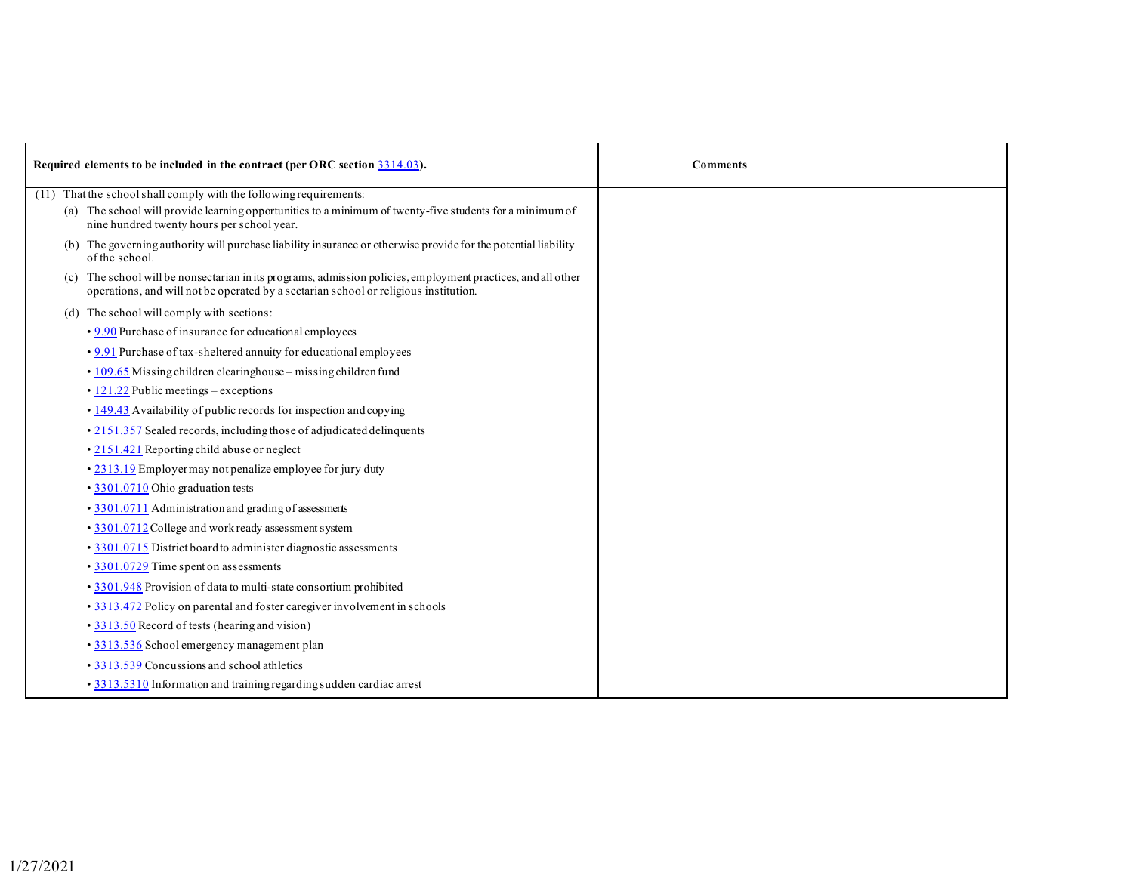| Required elements to be included in the contract (per ORC section 3314.03). |                                                                                                                                                                                                                              | <b>Comments</b> |
|-----------------------------------------------------------------------------|------------------------------------------------------------------------------------------------------------------------------------------------------------------------------------------------------------------------------|-----------------|
|                                                                             | (11) That the school shall comply with the following requirements:<br>(a) The school will provide learning opportunities to a minimum of twenty-five students for a minimum of<br>nine hundred twenty hours per school year. |                 |
|                                                                             | (b) The governing authority will purchase liability insurance or otherwise provide for the potential liability<br>of the school.                                                                                             |                 |
|                                                                             | (c) The school will be nonsectarian in its programs, admission policies, employment practices, and all other<br>operations, and will not be operated by a sectarian school or religious institution.                         |                 |
|                                                                             | (d) The school will comply with sections:                                                                                                                                                                                    |                 |
|                                                                             | • 9.90 Purchase of insurance for educational employees                                                                                                                                                                       |                 |
|                                                                             | • 9.91 Purchase of tax-sheltered annuity for educational employees                                                                                                                                                           |                 |
|                                                                             | • 109.65 Missing children clearinghouse - missing children fund                                                                                                                                                              |                 |
|                                                                             | $\cdot$ 121.22 Public meetings – exceptions                                                                                                                                                                                  |                 |
|                                                                             | • 149.43 Availability of public records for inspection and copying                                                                                                                                                           |                 |
|                                                                             | • 2151.357 Sealed records, including those of adjudicated delinquents                                                                                                                                                        |                 |
|                                                                             | • 2151.421 Reporting child abuse or neglect                                                                                                                                                                                  |                 |
|                                                                             | • 2313.19 Employermay not penalize employee for jury duty                                                                                                                                                                    |                 |
|                                                                             | • 3301.0710 Ohio graduation tests                                                                                                                                                                                            |                 |
|                                                                             | • 3301.0711 Administration and grading of assessments                                                                                                                                                                        |                 |
|                                                                             | · 3301.0712 College and work ready assessment system                                                                                                                                                                         |                 |
|                                                                             | • 3301.0715 District board to administer diagnostic assessments                                                                                                                                                              |                 |
|                                                                             | • 3301.0729 Time spent on assessments                                                                                                                                                                                        |                 |
|                                                                             | · 3301.948 Provision of data to multi-state consortium prohibited                                                                                                                                                            |                 |
|                                                                             | • 3313.472 Policy on parental and foster caregiver involvement in schools                                                                                                                                                    |                 |
|                                                                             | • 3313.50 Record of tests (hearing and vision)                                                                                                                                                                               |                 |
|                                                                             | • 3313.536 School emergency management plan                                                                                                                                                                                  |                 |
|                                                                             | • 3313.539 Concussions and school athletics                                                                                                                                                                                  |                 |
|                                                                             | • 3313.5310 Information and training regarding sudden cardiac arrest                                                                                                                                                         |                 |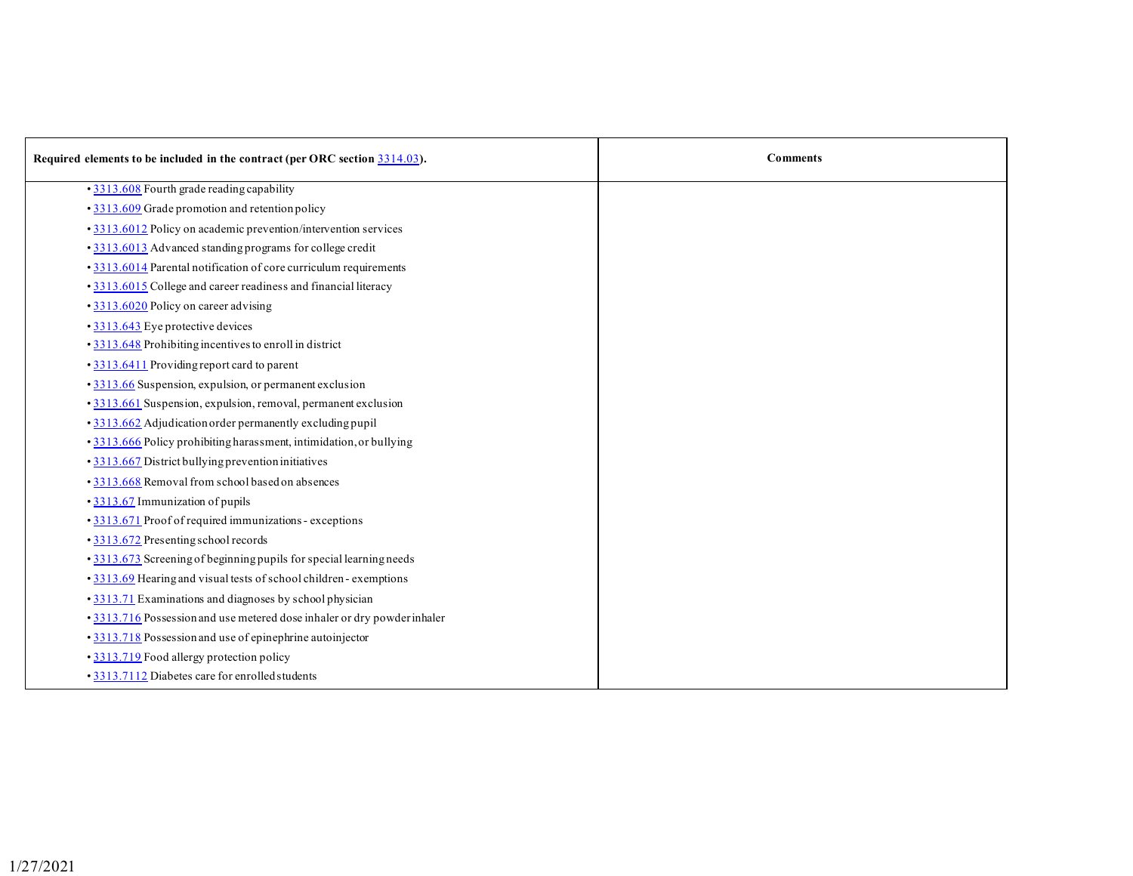| Required elements to be included in the contract (per ORC section 3314.03). | <b>Comments</b> |
|-----------------------------------------------------------------------------|-----------------|
| • 3313.608 Fourth grade reading capability                                  |                 |
| • 3313.609 Grade promotion and retention policy                             |                 |
| • 3313.6012 Policy on academic prevention/intervention services             |                 |
| • 3313.6013 Advanced standing programs for college credit                   |                 |
| • 3313.6014 Parental notification of core curriculum requirements           |                 |
| • 3313.6015 College and career readiness and financial literacy             |                 |
| • 3313.6020 Policy on career advising                                       |                 |
| • 3313.643 Eye protective devices                                           |                 |
| • 3313.648 Prohibiting incentives to enroll in district                     |                 |
| • 3313.6411 Providing report card to parent                                 |                 |
| · 3313.66 Suspension, expulsion, or permanent exclusion                     |                 |
| • 3313.661 Suspension, expulsion, removal, permanent exclusion              |                 |
| • 3313.662 Adjudication order permanently excluding pupil                   |                 |
| · 3313.666 Policy prohibiting harassment, intimidation, or bullying         |                 |
| • 3313.667 District bullying prevention initiatives                         |                 |
| • 3313.668 Removal from school based on absences                            |                 |
| • 3313.67 Immunization of pupils                                            |                 |
| • 3313.671 Proof of required immunizations - exceptions                     |                 |
| • 3313.672 Presenting school records                                        |                 |
| • 3313.673 Screening of beginning pupils for special learning needs         |                 |
| • 3313.69 Hearing and visual tests of school children - exemptions          |                 |
| • 3313.71 Examinations and diagnoses by school physician                    |                 |
| • 3313.716 Possession and use metered dose inhaler or dry powder inhaler    |                 |
| • 3313.718 Possession and use of epinephrine autoinjector                   |                 |
| • 3313.719 Food allergy protection policy                                   |                 |
| • 3313.7112 Diabetes care for enrolled students                             |                 |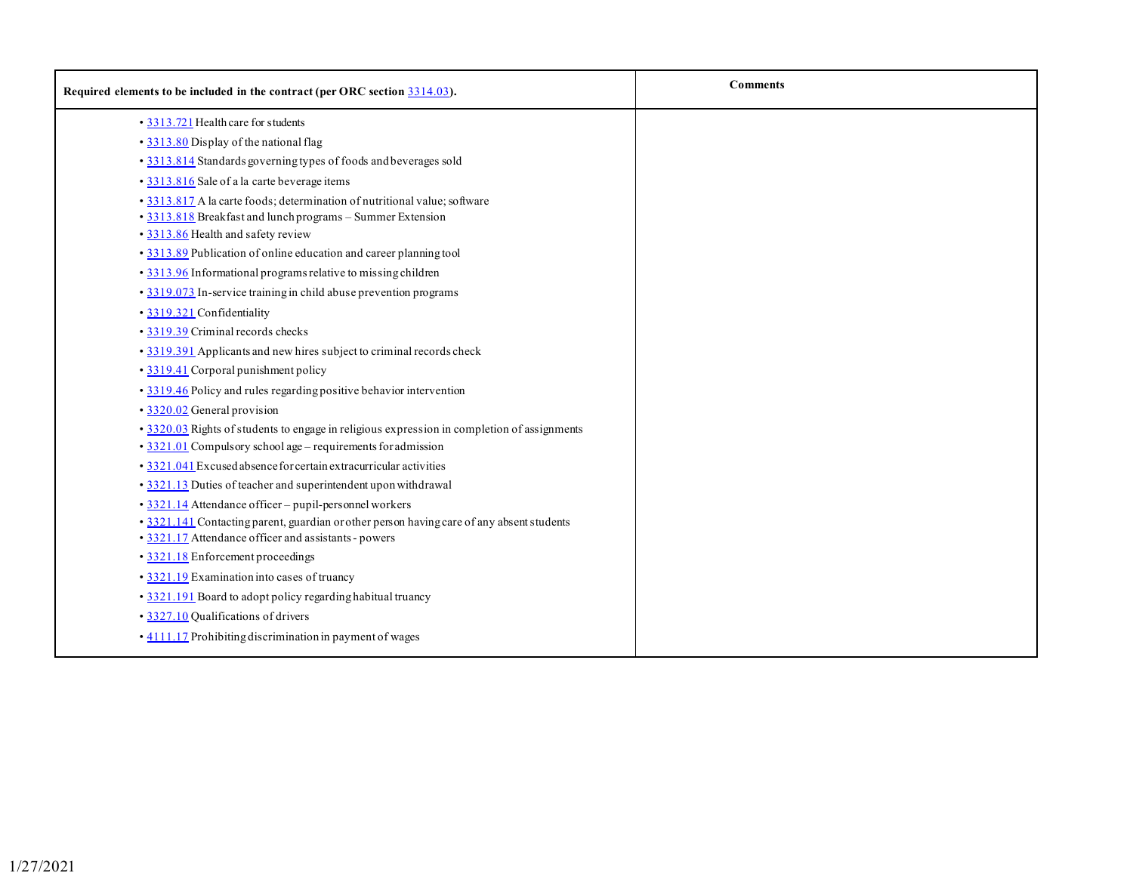| Required elements to be included in the contract (per ORC section 3314.03).                                                                                                                                 | <b>Comments</b> |
|-------------------------------------------------------------------------------------------------------------------------------------------------------------------------------------------------------------|-----------------|
| • 3313.721 Health care for students                                                                                                                                                                         |                 |
| • 3313.80 Display of the national flag                                                                                                                                                                      |                 |
| • 3313.814 Standards governing types of foods and beverages sold                                                                                                                                            |                 |
| • 3313.816 Sale of a la carte beverage items                                                                                                                                                                |                 |
| · 3313.817 A la carte foods; determination of nutritional value; software<br>• 3313.818 Breakfast and lunch programs - Summer Extension                                                                     |                 |
| • 3313.86 Health and safety review                                                                                                                                                                          |                 |
| · 3313.89 Publication of online education and career planning tool                                                                                                                                          |                 |
| • 3313.96 Informational programs relative to missing children                                                                                                                                               |                 |
| • 3319.073 In-service training in child abuse prevention programs                                                                                                                                           |                 |
| • 3319.321 Confidentiality                                                                                                                                                                                  |                 |
| • 3319.39 Criminal records checks                                                                                                                                                                           |                 |
| • 3319.391 Applicants and new hires subject to criminal records check                                                                                                                                       |                 |
| • 3319.41 Corporal punishment policy                                                                                                                                                                        |                 |
| · 3319.46 Policy and rules regarding positive behavior intervention                                                                                                                                         |                 |
| • 3320.02 General provision                                                                                                                                                                                 |                 |
| · 3320.03 Rights of students to engage in religious expression in completion of assignments<br>• 3321.01 Compulsory school age - requirements for admission                                                 |                 |
| • 3321.041 Excused absence for certain extracurricular activities                                                                                                                                           |                 |
| • 3321.13 Duties of teacher and superintendent upon withdrawal                                                                                                                                              |                 |
| • 3321.14 Attendance officer - pupil-personnel workers<br>• 3321.141 Contacting parent, guardian or other person having care of any absent students<br>• 3321.17 Attendance officer and assistants - powers |                 |
| • 3321.18 Enforcement proceedings                                                                                                                                                                           |                 |
| • 3321.19 Examination into cases of truancy                                                                                                                                                                 |                 |
| • 3321.191 Board to adopt policy regarding habitual truancy                                                                                                                                                 |                 |
| • 3327.10 Qualifications of drivers                                                                                                                                                                         |                 |
| . 4111.17 Prohibiting discrimination in payment of wages                                                                                                                                                    |                 |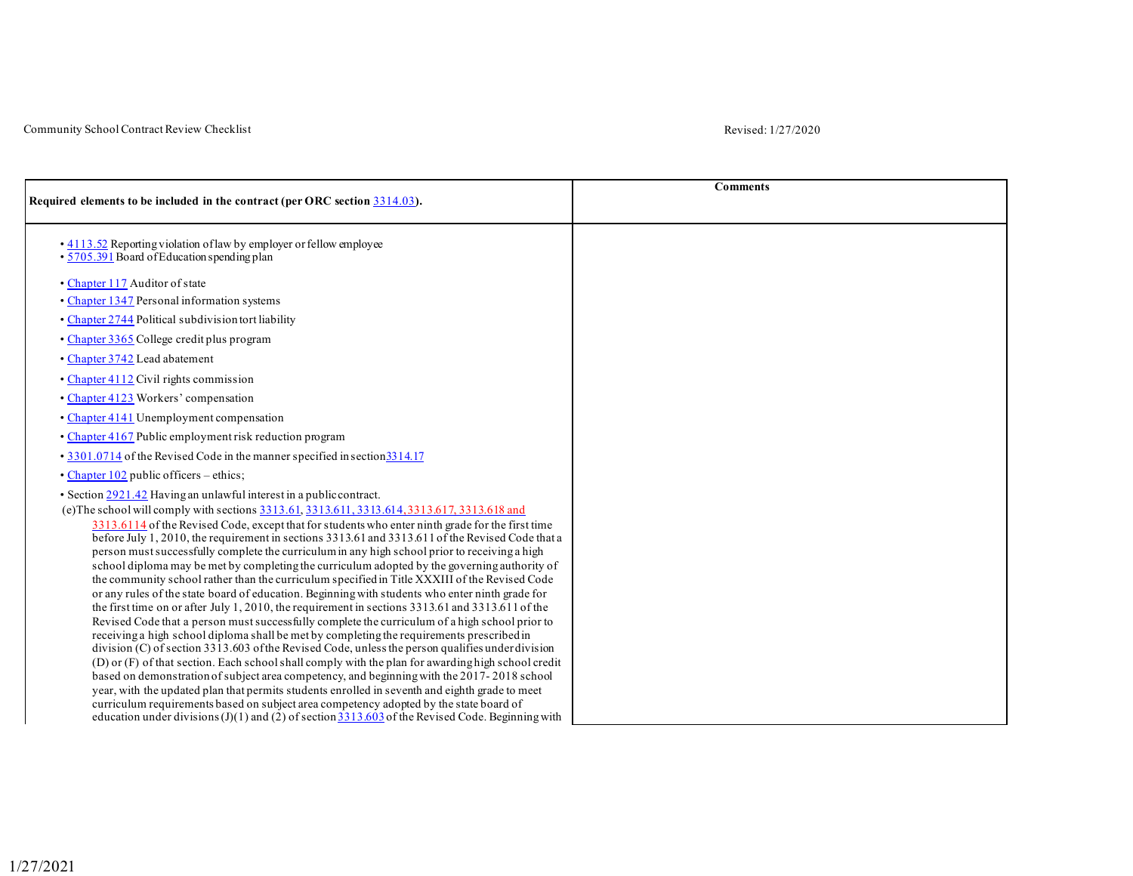## Community School Contract Review Checklist Revised: 1/27/2020

|                                                                                                                                                                                               | <b>Comments</b> |
|-----------------------------------------------------------------------------------------------------------------------------------------------------------------------------------------------|-----------------|
| Required elements to be included in the contract (per ORC section 3314.03).                                                                                                                   |                 |
| • 4113.52 Reporting violation of law by employer or fellow employee<br>$\cdot$ 5705.391 Board of Education spending plan                                                                      |                 |
| • Chapter 117 Auditor of state                                                                                                                                                                |                 |
| • Chapter 1347 Personal information systems                                                                                                                                                   |                 |
| • Chapter 2744 Political subdivision tort liability                                                                                                                                           |                 |
| • Chapter 3365 College credit plus program                                                                                                                                                    |                 |
| • Chapter 3742 Lead abatement                                                                                                                                                                 |                 |
| • Chapter 4112 Civil rights commission                                                                                                                                                        |                 |
| • Chapter 4123 Workers' compensation                                                                                                                                                          |                 |
| • Chapter 4141 Unemployment compensation                                                                                                                                                      |                 |
| • Chapter 4167 Public employment risk reduction program                                                                                                                                       |                 |
| • 3301.0714 of the Revised Code in the manner specified in section 3314.17                                                                                                                    |                 |
| • Chapter 102 public officers – ethics;                                                                                                                                                       |                 |
| • Section 2921.42 Having an unlawful interest in a public contract.                                                                                                                           |                 |
| (e) The school will comply with sections 3313.61, 3313.611, 3313.614, 3313.617, 3313.618 and                                                                                                  |                 |
| 3313.6114 of the Revised Code, except that for students who enter ninth grade for the first time                                                                                              |                 |
| before July 1, 2010, the requirement in sections 3313.61 and 3313.611 of the Revised Code that a                                                                                              |                 |
| person must successfully complete the curriculum in any high school prior to receiving a high<br>school diploma may be met by completing the curriculum adopted by the governing authority of |                 |
| the community school rather than the curriculum specified in Title XXXIII of the Revised Code                                                                                                 |                 |
| or any rules of the state board of education. Beginning with students who enter ninth grade for                                                                                               |                 |
| the first time on or after July 1, 2010, the requirement in sections $3313.61$ and $3313.61$ of the                                                                                           |                 |
| Revised Code that a person must success fully complete the curriculum of a high school prior to                                                                                               |                 |
| receiving a high school diploma shall be met by completing the requirements prescribed in                                                                                                     |                 |
| division (C) of section 3313.603 of the Revised Code, unless the person qualifies under division                                                                                              |                 |
| (D) or (F) of that section. Each school shall comply with the plan for awarding high school credit                                                                                            |                 |
| based on demonstration of subject area competency, and beginning with the 2017-2018 school                                                                                                    |                 |
| year, with the updated plan that permits students enrolled in seventh and eighth grade to meet                                                                                                |                 |
| curriculum requirements based on subject area competency adopted by the state board of                                                                                                        |                 |
| education under divisions (J)(1) and (2) of section $\frac{3313.603}{2}$ of the Revised Code. Beginning with                                                                                  |                 |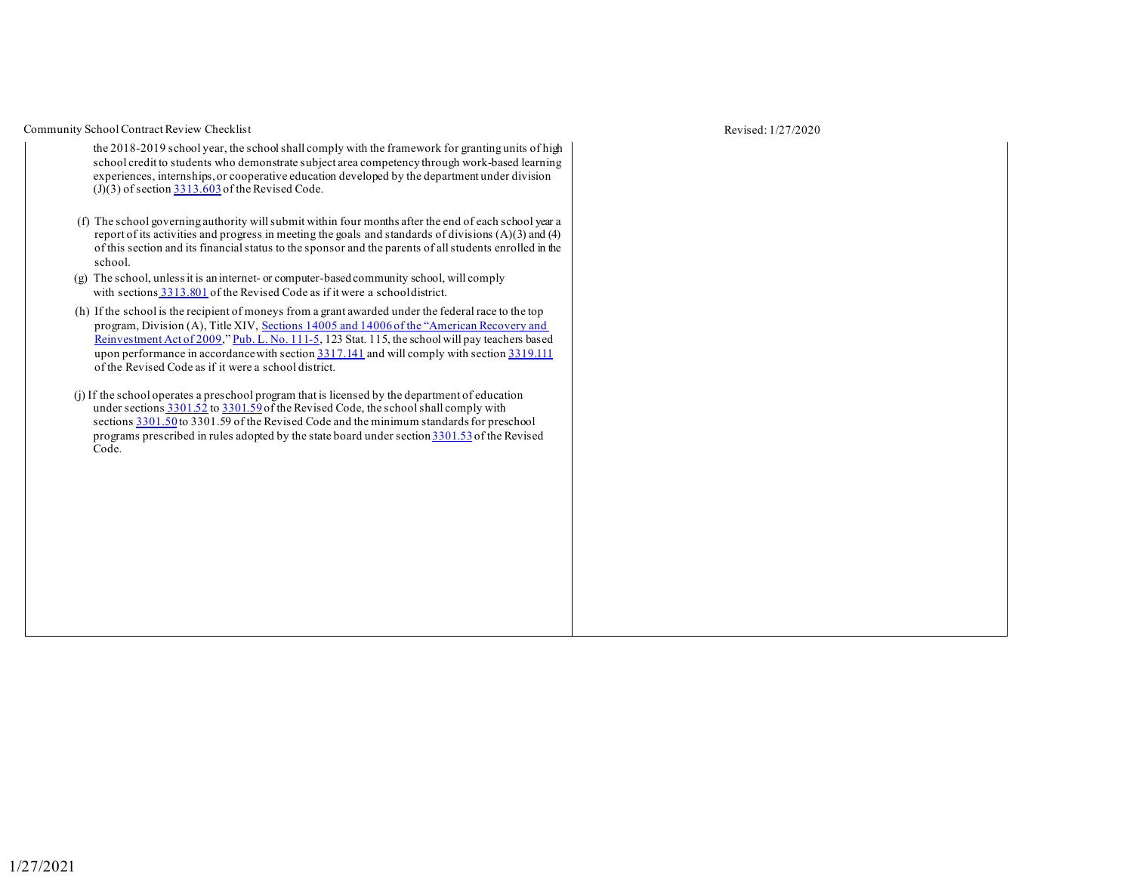Community School Contract Review Checklist Revised: 1/27/2020

- the 2018-2019 school year, the school shall comply with the framework for granting units of high school credit to students who demonstrate subject area competency through work-based learning experiences, internships, or cooperative education developed by the department under division  $(J)(3)$  of section  $3313.603$  of the Revised Code.
- (f) The school governing authority willsubmit within four months after the end of each school year a report of its activities and progress in meeting the goals and standards of divisions (A)(3) and (4) of this section and its financial status to the sponsor and the parents of allstudents enrolled in the school.
- (g) The school, unlessit is an internet- or computer-based community school, will comply with sections [3313.801](http://codes.ohio.gov/orc/3313.801) of the Revised Code as if it were a schooldistrict.
- (h) If the school is the recipient of moneys from a grant awarded under the federal race to the top program, Division (A), Title XIV, [Sections 14005 and 14006 of the "American Recovery and](https://www.acf.hhs.gov/sites/default/files/ecd/rtt_elc_legislation.pdf) [Reinvestment](https://www.acf.hhs.gov/sites/default/files/ecd/rtt_elc_legislation.pdf) Act of [2009,](https://www.acf.hhs.gov/sites/default/files/ecd/rtt_elc_legislation.pdf)" Pub. L. No. [111-5,](https://www.gpo.gov/fdsys/pkg/PLAW-111publ5/pdf/PLAW-111publ5.pdf) 123 Stat. 115, the school will pay teachers based upon performance in accordance with section [3317.141](http://codes.ohio.gov/orc/3317.141) and will comply with section [3319.111](http://codes.ohio.gov/orc/3319.111) of the Revised Code as if it were a school district.
- (j) If the school operates a preschool program that is licensed by the department of education under sections  $3301.52$  to  $3301.59$  of the Revised Code, the school shall comply with sections [3301.50](http://codes.ohio.gov/orc/3301.50) to 3301.59 of the Revised Code and the minimum standards for preschool programs prescribed in rules adopted by the state board under section [3301.53](http://codes.ohio.gov/orc/3301.53) of the Revised Code.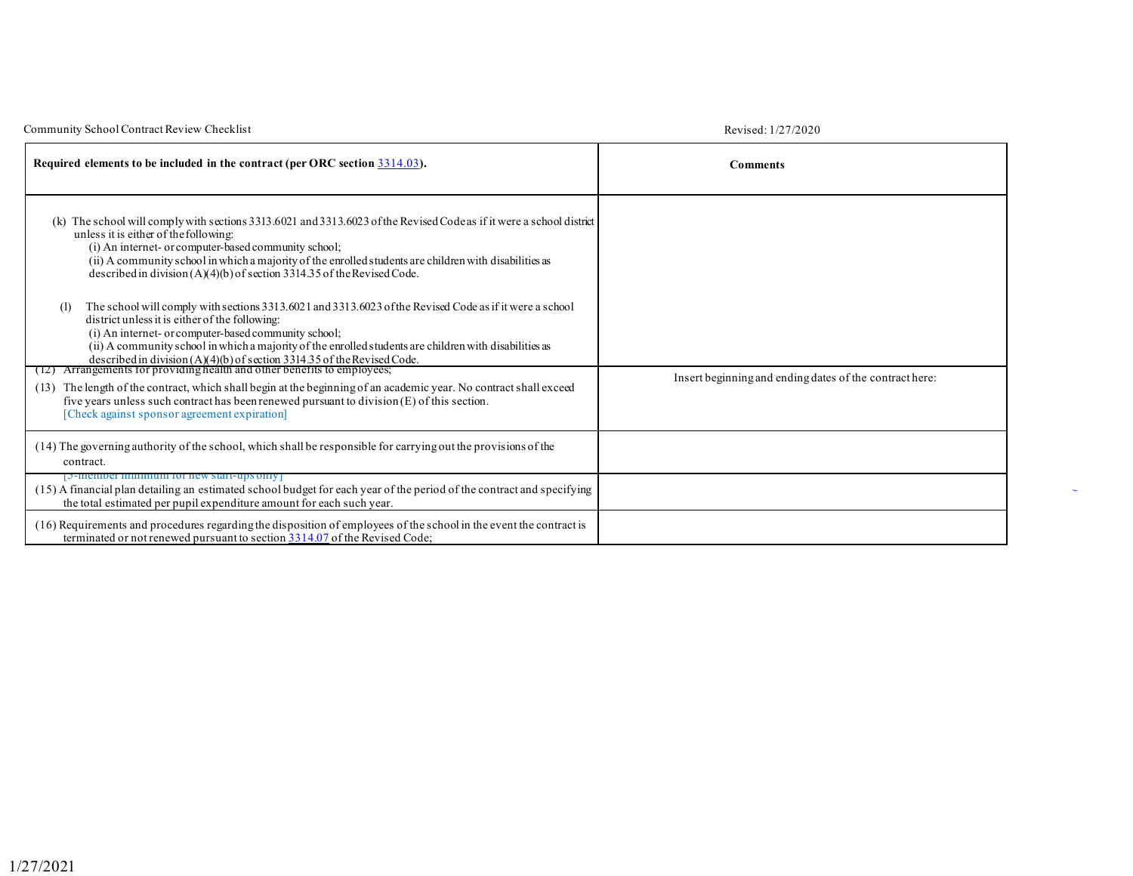| Community School Contract Review Checklist                                                                                                                                                                                                                                                                                                                                                                                                                                                                                                                                                                                                                                                                                                                                                                                                                                                                                                                                                                                                                                                                                                                                        | Revised: 1/27/2020                                      |
|-----------------------------------------------------------------------------------------------------------------------------------------------------------------------------------------------------------------------------------------------------------------------------------------------------------------------------------------------------------------------------------------------------------------------------------------------------------------------------------------------------------------------------------------------------------------------------------------------------------------------------------------------------------------------------------------------------------------------------------------------------------------------------------------------------------------------------------------------------------------------------------------------------------------------------------------------------------------------------------------------------------------------------------------------------------------------------------------------------------------------------------------------------------------------------------|---------------------------------------------------------|
| Required elements to be included in the contract (per ORC section 3314.03).                                                                                                                                                                                                                                                                                                                                                                                                                                                                                                                                                                                                                                                                                                                                                                                                                                                                                                                                                                                                                                                                                                       | <b>Comments</b>                                         |
| (k) The school will comply with sections 3313.6021 and 3313.6023 of the Revised Codeas if it were a school district<br>unless it is either of the following:<br>(i) An internet- or computer-based community school;<br>(ii) A community school in which a majority of the enrolled students are children with disabilities as<br>described in division $(A)(4)(b)$ of section 3314.35 of the Revised Code.<br>The school will comply with sections 3313.6021 and 3313.6023 of the Revised Code as if it were a school<br>(1)<br>district unless it is either of the following:<br>(i) An internet- or computer-based community school;<br>(ii) A community school in which a majority of the enrolled students are children with disabilities as<br>described in division $(A)(4)(b)$ of section 3314.35 of the Revised Code.<br>(12) Arrangements for providing health and other benefits to employees;<br>The length of the contract, which shall begin at the beginning of an academic year. No contract shall exceed<br>(13)<br>five years unless such contract has been renewed pursuant to division $(E)$ of this section.<br>[Check against sponsor agreement expiration] | Insert beginning and ending dates of the contract here: |
| (14) The governing authority of the school, which shall be responsible for carrying out the provisions of the<br>contract.                                                                                                                                                                                                                                                                                                                                                                                                                                                                                                                                                                                                                                                                                                                                                                                                                                                                                                                                                                                                                                                        |                                                         |
| [5-member minimum for new start-ups only]<br>(15) A financial plan detailing an estimated school budget for each year of the period of the contract and specifying<br>the total estimated per pupil expenditure amount for each such year.                                                                                                                                                                                                                                                                                                                                                                                                                                                                                                                                                                                                                                                                                                                                                                                                                                                                                                                                        |                                                         |
| (16) Requirements and procedures regarding the disposition of employees of the school in the event the contract is<br>terminated or not renewed pursuant to section 3314.07 of the Revised Code;                                                                                                                                                                                                                                                                                                                                                                                                                                                                                                                                                                                                                                                                                                                                                                                                                                                                                                                                                                                  |                                                         |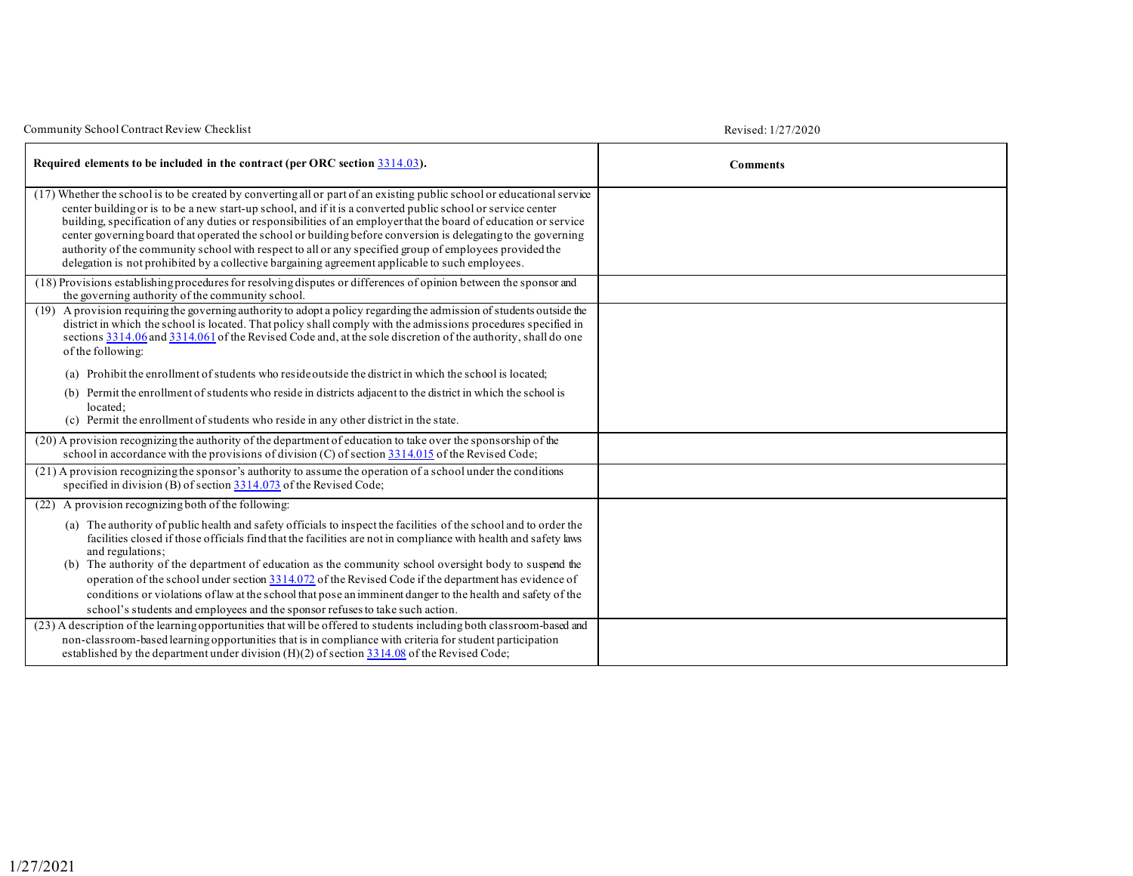| Community School Contract Review Checklist                                                                                                                                                                                                                                                                                                                                                                                                                                                                                                                                                                                                                                            | Revised: 1/27/2020 |
|---------------------------------------------------------------------------------------------------------------------------------------------------------------------------------------------------------------------------------------------------------------------------------------------------------------------------------------------------------------------------------------------------------------------------------------------------------------------------------------------------------------------------------------------------------------------------------------------------------------------------------------------------------------------------------------|--------------------|
| Required elements to be included in the contract (per ORC section 3314.03).                                                                                                                                                                                                                                                                                                                                                                                                                                                                                                                                                                                                           | <b>Comments</b>    |
| (17) Whether the school is to be created by converting all or part of an existing public school or educational service<br>center building or is to be a new start-up school, and if it is a converted public school or service center<br>building, specification of any duties or responsibilities of an employer that the board of education or service<br>center governing board that operated the school or building before conversion is delegating to the governing<br>authority of the community school with respect to all or any specified group of employees provided the<br>delegation is not prohibited by a collective bargaining agreement applicable to such employees. |                    |
| (18) Provisions establishing procedures for resolving disputes or differences of opinion between the sponsor and<br>the governing authority of the community school.                                                                                                                                                                                                                                                                                                                                                                                                                                                                                                                  |                    |
| (19) A provision requiring the governing authority to adopt a policy regarding the admission of students outside the<br>district in which the school is located. That policy shall comply with the admissions procedures specified in<br>sections 3314.06 and 3314.061 of the Revised Code and, at the sole discretion of the authority, shall do one<br>of the following:                                                                                                                                                                                                                                                                                                            |                    |
| Prohibit the enrollment of students who reside outside the district in which the school is located:<br>(a)                                                                                                                                                                                                                                                                                                                                                                                                                                                                                                                                                                            |                    |
| Permit the enrollment of students who reside in districts adjacent to the district in which the school is<br>(b)<br>located:<br>(c) Permit the enrollment of students who reside in any other district in the state.                                                                                                                                                                                                                                                                                                                                                                                                                                                                  |                    |
| (20) A provision recognizing the authority of the department of education to take over the sponsorship of the<br>school in accordance with the provisions of division (C) of section $3314.015$ of the Revised Code;                                                                                                                                                                                                                                                                                                                                                                                                                                                                  |                    |
| (21) A provision recognizing the sponsor's authority to assume the operation of a school under the conditions<br>specified in division (B) of section $3314.073$ of the Revised Code;                                                                                                                                                                                                                                                                                                                                                                                                                                                                                                 |                    |
| (22) A provision recognizing both of the following:                                                                                                                                                                                                                                                                                                                                                                                                                                                                                                                                                                                                                                   |                    |
| (a) The authority of public health and safety officials to inspect the facilities of the school and to order the<br>facilities closed if those officials find that the facilities are not in compliance with health and safety laws<br>and regulations;<br>(b) The authority of the department of education as the community school oversight body to suspend the<br>operation of the school under section $3314.072$ of the Revised Code if the department has evidence of<br>conditions or violations of law at the school that pose an imminent danger to the health and safety of the<br>school's students and employees and the sponsor refuses to take such action.             |                    |
| (23) A description of the learning opportunities that will be offered to students including both classroom-based and<br>non-classroom-based learning opportunities that is in compliance with criteria for student participation<br>established by the department under division $(H)(2)$ of section 3314.08 of the Revised Code;                                                                                                                                                                                                                                                                                                                                                     |                    |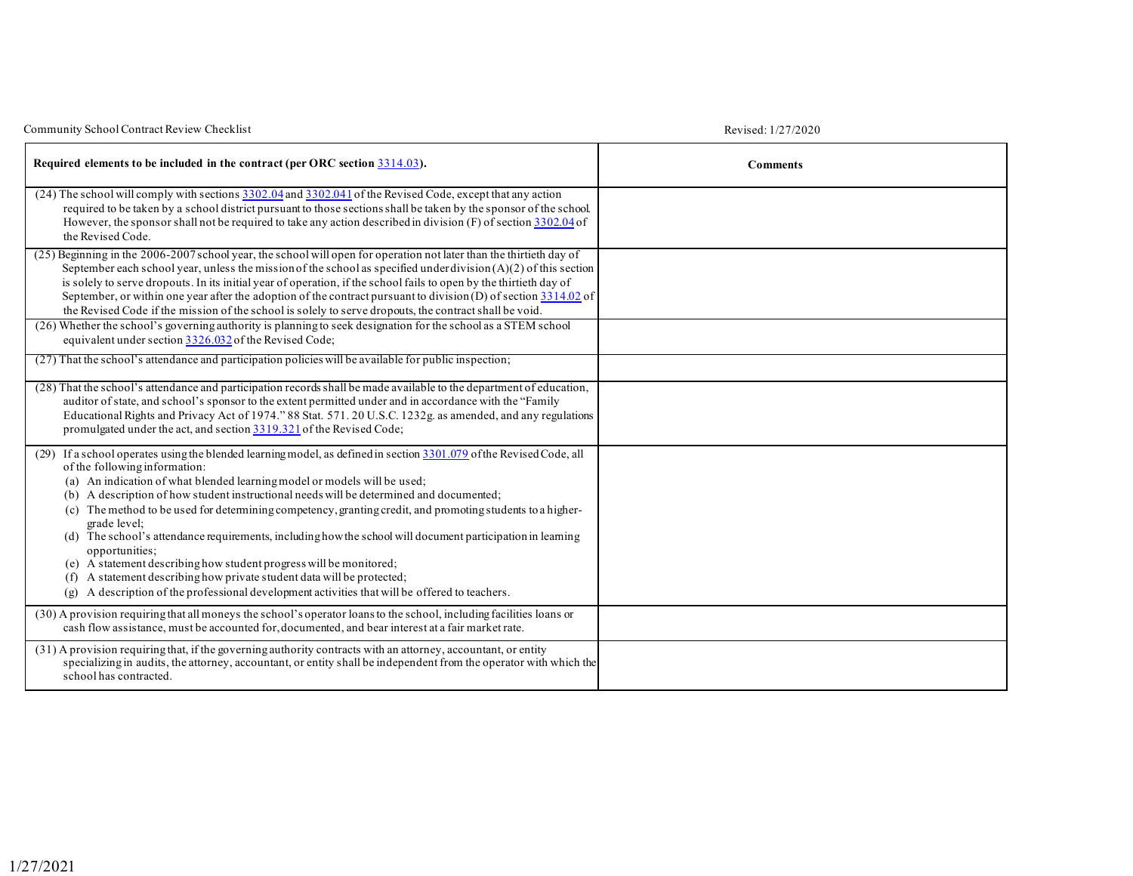| Community School Contract Review Checklist                                                                                                                                                                                                                                                                                                                                                                                                                                                                                                                                                                                                                                                                                                                                                                                                     | Revised: 1/27/2020 |
|------------------------------------------------------------------------------------------------------------------------------------------------------------------------------------------------------------------------------------------------------------------------------------------------------------------------------------------------------------------------------------------------------------------------------------------------------------------------------------------------------------------------------------------------------------------------------------------------------------------------------------------------------------------------------------------------------------------------------------------------------------------------------------------------------------------------------------------------|--------------------|
| Required elements to be included in the contract (per ORC section 3314.03).                                                                                                                                                                                                                                                                                                                                                                                                                                                                                                                                                                                                                                                                                                                                                                    | <b>Comments</b>    |
| (24) The school will comply with sections 3302.04 and 3302.041 of the Revised Code, except that any action<br>required to be taken by a school district pursuant to those sections shall be taken by the sponsor of the school.<br>However, the sponsor shall not be required to take any action described in division $(F)$ of section $3302.04$ of<br>the Revised Code.                                                                                                                                                                                                                                                                                                                                                                                                                                                                      |                    |
| (25) Beginning in the 2006-2007 school year, the school will open for operation not later than the thirtieth day of<br>September each school year, unless the mission of the school as specified under division $(A)(2)$ of this section<br>is solely to serve dropouts. In its initial year of operation, if the school fails to open by the thirtieth day of<br>September, or within one year after the adoption of the contract pursuant to division (D) of section $3314.02$ of<br>the Revised Code if the mission of the school is solely to serve dropouts, the contract shall be void.                                                                                                                                                                                                                                                  |                    |
| (26) Whether the school's governing authority is planning to seek designation for the school as a STEM school<br>equivalent under section 3326.032 of the Revised Code;                                                                                                                                                                                                                                                                                                                                                                                                                                                                                                                                                                                                                                                                        |                    |
| (27) That the school's attendance and participation policies will be available for public inspection;                                                                                                                                                                                                                                                                                                                                                                                                                                                                                                                                                                                                                                                                                                                                          |                    |
| (28) That the school's attendance and participation records shall be made available to the department of education,<br>auditor of state, and school's sponsor to the extent permitted under and in accordance with the "Family<br>Educational Rights and Privacy Act of 1974." 88 Stat. 571. 20 U.S.C. 1232g. as amended, and any regulations<br>promulgated under the act, and section 3319.321 of the Revised Code;                                                                                                                                                                                                                                                                                                                                                                                                                          |                    |
| (29) If a school operates using the blended learning model, as defined in section 3301.079 of the Revised Code, all<br>of the following information:<br>(a) An indication of what blended learning model or models will be used;<br>(b) A description of how student instructional needs will be determined and documented;<br>(c) The method to be used for determining competency, granting credit, and promoting students to a higher-<br>grade level;<br>(d) The school's attendance requirements, including how the school will document participation in learning<br>opportunities;<br>(e) A statement describing how student progress will be monitored;<br>(f) A statement describing how private student data will be protected;<br>A description of the professional development activities that will be offered to teachers.<br>(g) |                    |
| (30) A provision requiring that all moneys the school's operator loans to the school, including facilities loans or<br>cash flow assistance, must be accounted for, documented, and bear interest at a fair market rate.                                                                                                                                                                                                                                                                                                                                                                                                                                                                                                                                                                                                                       |                    |
| (31) A provision requiring that, if the governing authority contracts with an attorney, accountant, or entity<br>specializing in audits, the attorney, accountant, or entity shall be independent from the operator with which the<br>school has contracted.                                                                                                                                                                                                                                                                                                                                                                                                                                                                                                                                                                                   |                    |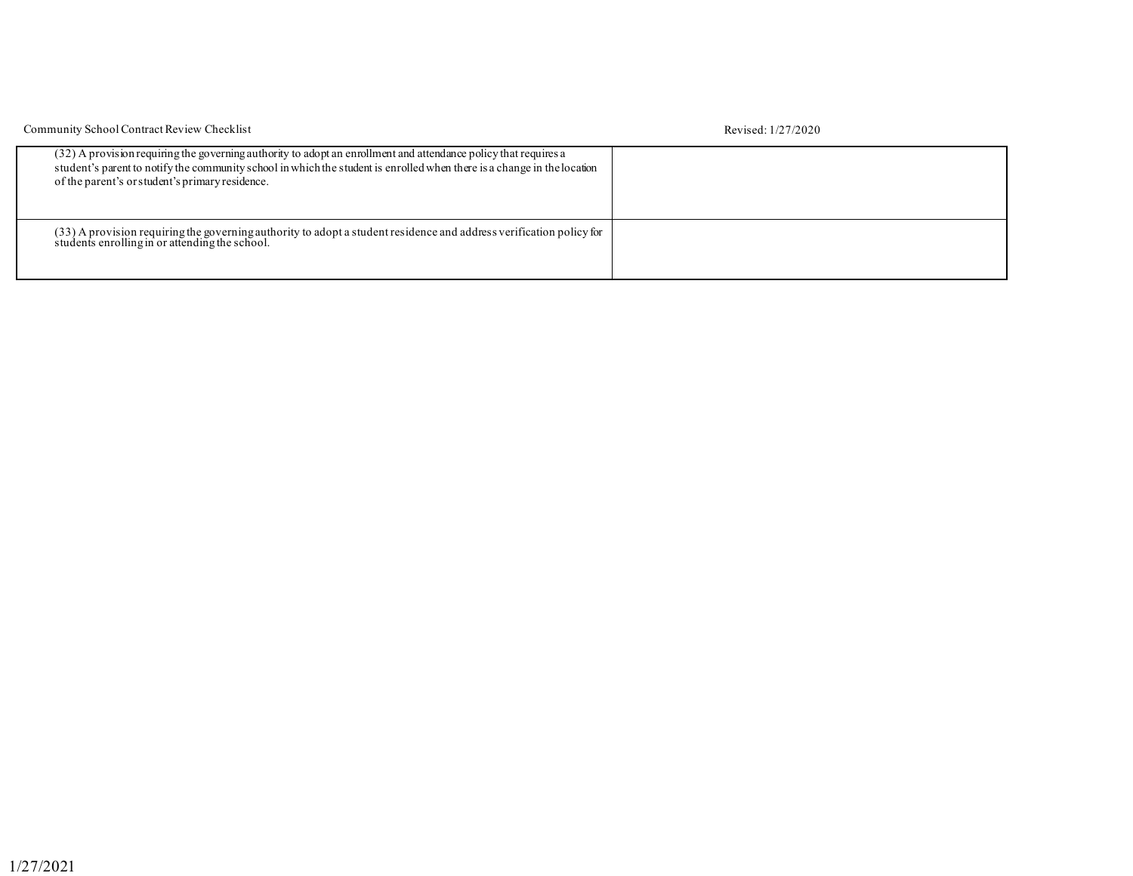| Community School Contract Review Checklist                                                                                                                                                                                                                                                    | Revised: 1/27/2020 |
|-----------------------------------------------------------------------------------------------------------------------------------------------------------------------------------------------------------------------------------------------------------------------------------------------|--------------------|
| (32) A provision requiring the governing authority to adopt an enrollment and attendance policy that requires a<br>student's parent to notify the community school in which the student is enrolled when there is a change in the location<br>of the parent's or student's primary residence. |                    |
| (33) A provision requiring the governing authority to adopt a student residence and address verification policy for<br>students enrolling in or attending the school.                                                                                                                         |                    |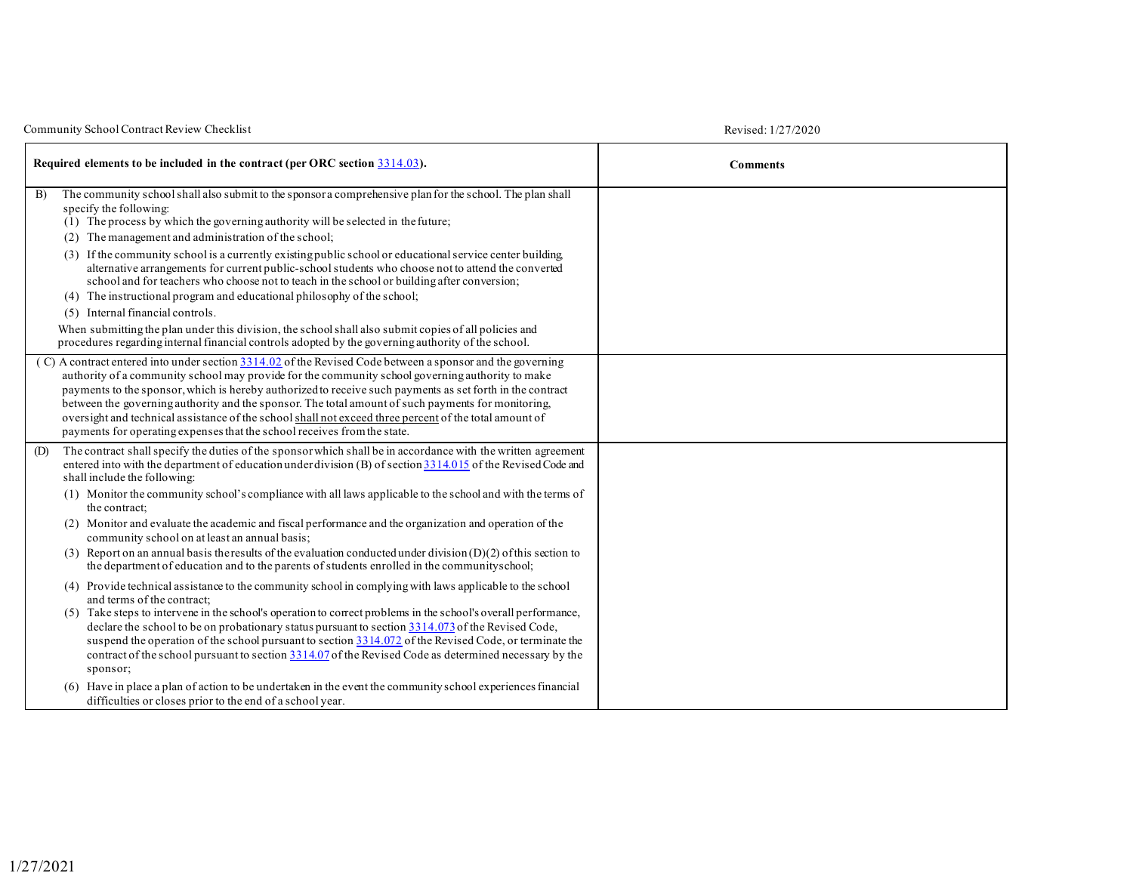| Community School Contract Review Checklist | Revised: 1/27/2020 |
|--------------------------------------------|--------------------|
|--------------------------------------------|--------------------|

| Revised: 1/27/2020 |  |  |  |
|--------------------|--|--|--|
|                    |  |  |  |

|     | Required elements to be included in the contract (per ORC section 3314.03).                                                                                                                                                                                                                                                                                                                                                                                                                                                                                                                                              | <b>Comments</b> |
|-----|--------------------------------------------------------------------------------------------------------------------------------------------------------------------------------------------------------------------------------------------------------------------------------------------------------------------------------------------------------------------------------------------------------------------------------------------------------------------------------------------------------------------------------------------------------------------------------------------------------------------------|-----------------|
| B)  | The community school shall also submit to the sponsor a comprehensive plan for the school. The plan shall<br>specify the following:<br>(1) The process by which the governing authority will be selected in the future;<br>The management and administration of the school;                                                                                                                                                                                                                                                                                                                                              |                 |
|     | (2)<br>(3) If the community school is a currently existing public school or educational service center building<br>alternative arrangements for current public-school students who choose not to attend the converted<br>school and for teachers who choose not to teach in the school or building after conversion;<br>(4) The instructional program and educational philosophy of the school;<br>(5) Internal financial controls.                                                                                                                                                                                      |                 |
|     | When submitting the plan under this division, the school shall also submit copies of all policies and<br>procedures regarding internal financial controls adopted by the governing authority of the school.                                                                                                                                                                                                                                                                                                                                                                                                              |                 |
|     | (C) A contract entered into under section $3314.02$ of the Revised Code between a sponsor and the governing<br>authority of a community school may provide for the community school governing authority to make<br>payments to the sponsor, which is hereby authorized to receive such payments as set forth in the contract<br>between the governing authority and the sponsor. The total amount of such payments for monitoring,<br>oversight and technical assistance of the school shall not exceed three percent of the total amount of<br>payments for operating expenses that the school receives from the state. |                 |
| (D) | The contract shall specify the duties of the sponsor which shall be in accordance with the written agreement<br>entered into with the department of education under division (B) of section 3314.015 of the Revised Code and<br>shall include the following:                                                                                                                                                                                                                                                                                                                                                             |                 |
|     | (1) Monitor the community school's compliance with all laws applicable to the school and with the terms of<br>the contract:                                                                                                                                                                                                                                                                                                                                                                                                                                                                                              |                 |
|     | (2) Monitor and evaluate the academic and fiscal performance and the organization and operation of the<br>community school on at least an annual basis;                                                                                                                                                                                                                                                                                                                                                                                                                                                                  |                 |
|     | (3) Report on an annual basis the results of the evaluation conducted under division $(D)(2)$ of this section to<br>the department of education and to the parents of students enrolled in the communityschool;                                                                                                                                                                                                                                                                                                                                                                                                          |                 |
|     | (4) Provide technical assistance to the community school in complying with laws applicable to the school<br>and terms of the contract:<br>(5) Take steps to intervene in the school's operation to correct problems in the school's overall performance,<br>declare the school to be on probationary status pursuant to section 3314.073 of the Revised Code,<br>suspend the operation of the school pursuant to section 3314.072 of the Revised Code, or terminate the<br>contract of the school pursuant to section 3314.07 of the Revised Code as determined necessary by the<br>sponsor;                             |                 |
|     | (6) Have in place a plan of action to be undertaken in the event the community school experiences financial<br>difficulties or closes prior to the end of a school year.                                                                                                                                                                                                                                                                                                                                                                                                                                                 |                 |